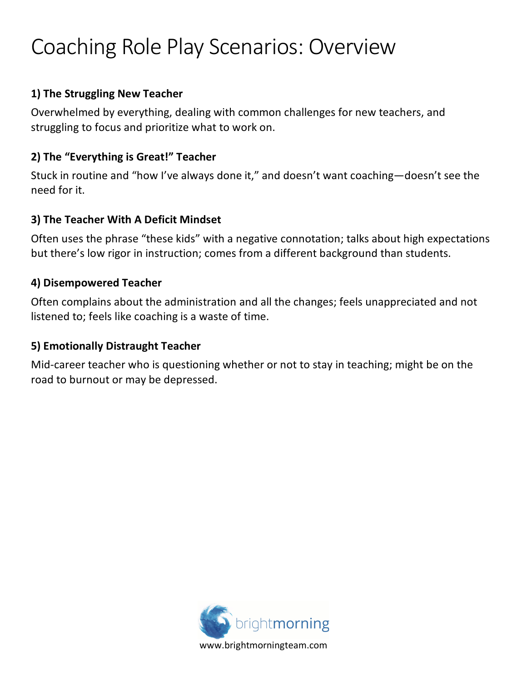# Coaching Role Play Scenarios: Overview

## **1) The Struggling New Teacher**

Overwhelmed by everything, dealing with common challenges for new teachers, and struggling to focus and prioritize what to work on.

## **2) The "Everything is Great!" Teacher**

Stuck in routine and "how I've always done it," and doesn't want coaching—doesn't see the need for it.

## **3) The Teacher With A Deficit Mindset**

Often uses the phrase "these kids" with a negative connotation; talks about high expectations but there's low rigor in instruction; comes from a different background than students.

#### **4) Disempowered Teacher**

Often complains about the administration and all the changes; feels unappreciated and not listened to; feels like coaching is a waste of time.

#### **5) Emotionally Distraught Teacher**

Mid-career teacher who is questioning whether or not to stay in teaching; might be on the road to burnout or may be depressed.

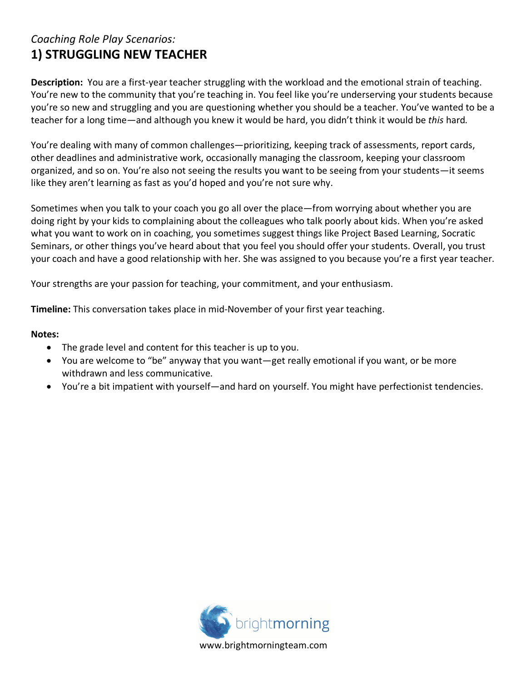# *Coaching Role Play Scenarios:* **1) STRUGGLING NEW TEACHER**

**Description:** You are a first-year teacher struggling with the workload and the emotional strain of teaching. You're new to the community that you're teaching in. You feel like you're underserving your students because you're so new and struggling and you are questioning whether you should be a teacher. You've wanted to be a teacher for a long time—and although you knew it would be hard, you didn't think it would be *this* hard*.*

You're dealing with many of common challenges—prioritizing, keeping track of assessments, report cards, other deadlines and administrative work, occasionally managing the classroom, keeping your classroom organized, and so on. You're also not seeing the results you want to be seeing from your students—it seems like they aren't learning as fast as you'd hoped and you're not sure why.

Sometimes when you talk to your coach you go all over the place—from worrying about whether you are doing right by your kids to complaining about the colleagues who talk poorly about kids. When you're asked what you want to work on in coaching, you sometimes suggest things like Project Based Learning, Socratic Seminars, or other things you've heard about that you feel you should offer your students. Overall, you trust your coach and have a good relationship with her. She was assigned to you because you're a first year teacher.

Your strengths are your passion for teaching, your commitment, and your enthusiasm.

**Timeline:** This conversation takes place in mid-November of your first year teaching.

- The grade level and content for this teacher is up to you.
- You are welcome to "be" anyway that you want—get really emotional if you want, or be more withdrawn and less communicative.
- You're a bit impatient with yourself—and hard on yourself. You might have perfectionist tendencies.

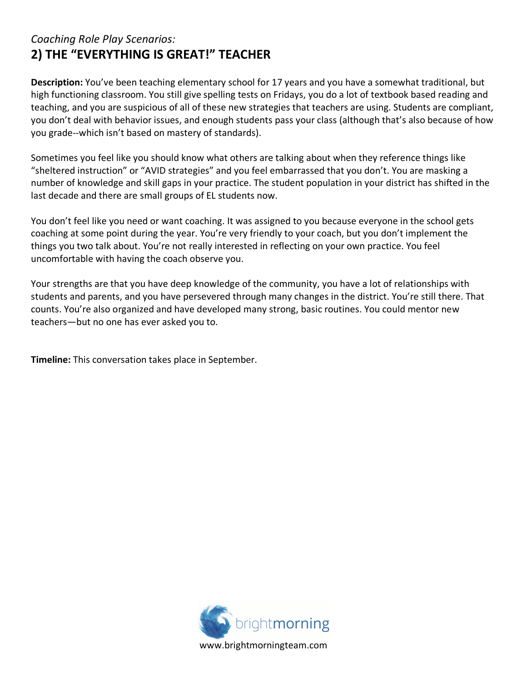# *Coaching Role Play Scenarios:* **2) THE "EVERYTHING IS GREAT!" TEACHER**

**Description:** You've been teaching elementary school for 17 years and you have a somewhat traditional, but high functioning classroom. You still give spelling tests on Fridays, you do a lot of textbook based reading and teaching, and you are suspicious of all of these new strategies that teachers are using. Students are compliant, you don't deal with behavior issues, and enough students pass your class (although that's also because of how you grade--which isn't based on mastery of standards).

Sometimes you feel like you should know what others are talking about when they reference things like "sheltered instruction" or "AVID strategies" and you feel embarrassed that you don't. You are masking a number of knowledge and skill gaps in your practice. The student population in your district has shifted in the last decade and there are small groups of EL students now.

You don't feel like you need or want coaching. It was assigned to you because everyone in the school gets coaching at some point during the year. You're very friendly to your coach, but you don't implement the things you two talk about. You're not really interested in reflecting on your own practice. You feel uncomfortable with having the coach observe you.

Your strengths are that you have deep knowledge of the community, you have a lot of relationships with students and parents, and you have persevered through many changes in the district. You're still there. That counts. You're also organized and have developed many strong, basic routines. You could mentor new teachers—but no one has ever asked you to.

**Timeline:** This conversation takes place in September.

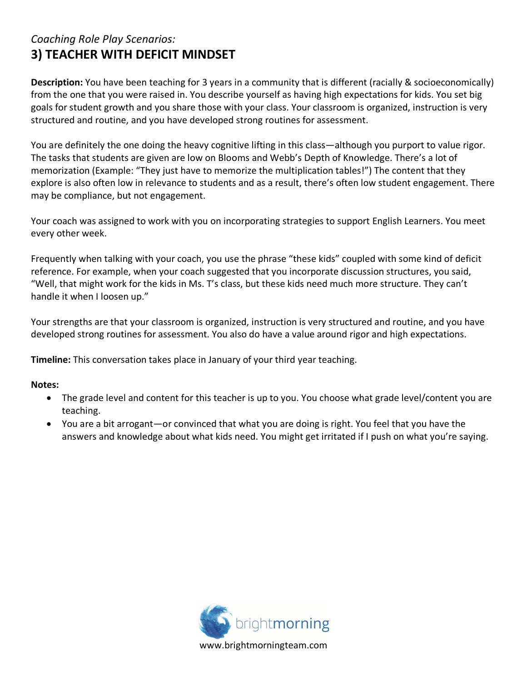# *Coaching Role Play Scenarios:* **3) TEACHER WITH DEFICIT MINDSET**

**Description:** You have been teaching for 3 years in a community that is different (racially & socioeconomically) from the one that you were raised in. You describe yourself as having high expectations for kids. You set big goals for student growth and you share those with your class. Your classroom is organized, instruction is very structured and routine, and you have developed strong routines for assessment.

You are definitely the one doing the heavy cognitive lifting in this class—although you purport to value rigor. The tasks that students are given are low on Blooms and Webb's Depth of Knowledge. There's a lot of memorization (Example: "They just have to memorize the multiplication tables!") The content that they explore is also often low in relevance to students and as a result, there's often low student engagement. There may be compliance, but not engagement.

Your coach was assigned to work with you on incorporating strategies to support English Learners. You meet every other week.

Frequently when talking with your coach, you use the phrase "these kids" coupled with some kind of deficit reference. For example, when your coach suggested that you incorporate discussion structures, you said, "Well, that might work for the kids in Ms. T's class, but these kids need much more structure. They can't handle it when I loosen up."

Your strengths are that your classroom is organized, instruction is very structured and routine, and you have developed strong routines for assessment. You also do have a value around rigor and high expectations.

**Timeline:** This conversation takes place in January of your third year teaching.

- The grade level and content for this teacher is up to you. You choose what grade level/content you are teaching.
- You are a bit arrogant—or convinced that what you are doing is right. You feel that you have the answers and knowledge about what kids need. You might get irritated if I push on what you're saying.

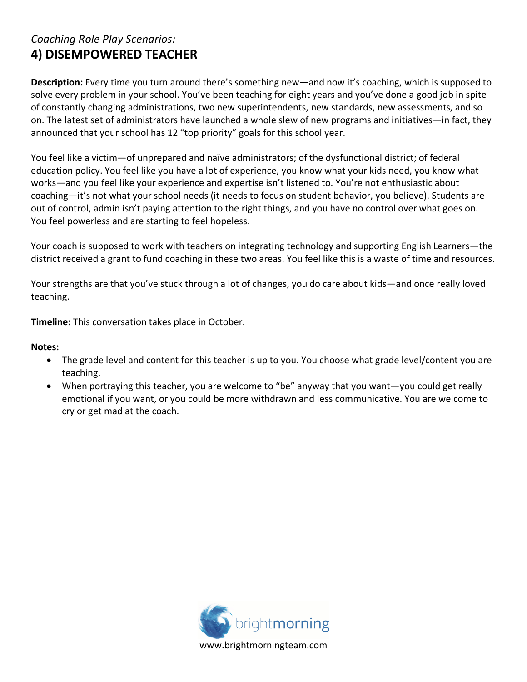# *Coaching Role Play Scenarios:* **4) DISEMPOWERED TEACHER**

**Description:** Every time you turn around there's something new—and now it's coaching, which is supposed to solve every problem in your school. You've been teaching for eight years and you've done a good job in spite of constantly changing administrations, two new superintendents, new standards, new assessments, and so on. The latest set of administrators have launched a whole slew of new programs and initiatives—in fact, they announced that your school has 12 "top priority" goals for this school year.

You feel like a victim—of unprepared and naïve administrators; of the dysfunctional district; of federal education policy. You feel like you have a lot of experience, you know what your kids need, you know what works—and you feel like your experience and expertise isn't listened to. You're not enthusiastic about coaching—it's not what your school needs (it needs to focus on student behavior, you believe). Students are out of control, admin isn't paying attention to the right things, and you have no control over what goes on. You feel powerless and are starting to feel hopeless.

Your coach is supposed to work with teachers on integrating technology and supporting English Learners—the district received a grant to fund coaching in these two areas. You feel like this is a waste of time and resources.

Your strengths are that you've stuck through a lot of changes, you do care about kids—and once really loved teaching.

**Timeline:** This conversation takes place in October.

- The grade level and content for this teacher is up to you. You choose what grade level/content you are teaching.
- When portraying this teacher, you are welcome to "be" anyway that you want—you could get really emotional if you want, or you could be more withdrawn and less communicative. You are welcome to cry or get mad at the coach.